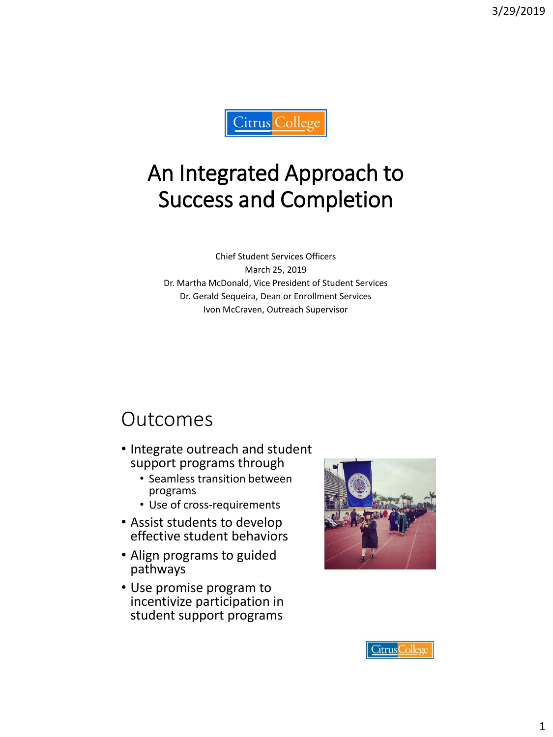

# An Integrated Approach to Success and Completion

Chief Student Services Officers March 25, 2019 Dr. Martha McDonald, Vice President of Student Services Dr. Gerald Sequeira, Dean or Enrollment Services Ivon McCraven, Outreach Supervisor

#### Outcomes

- Integrate outreach and student support programs through
	- Seamless transition between programs
	- Use of cross-requirements
- Assist students to develop effective student behaviors
- Align programs to guided pathways
- Use promise program to incentivize participation in student support programs



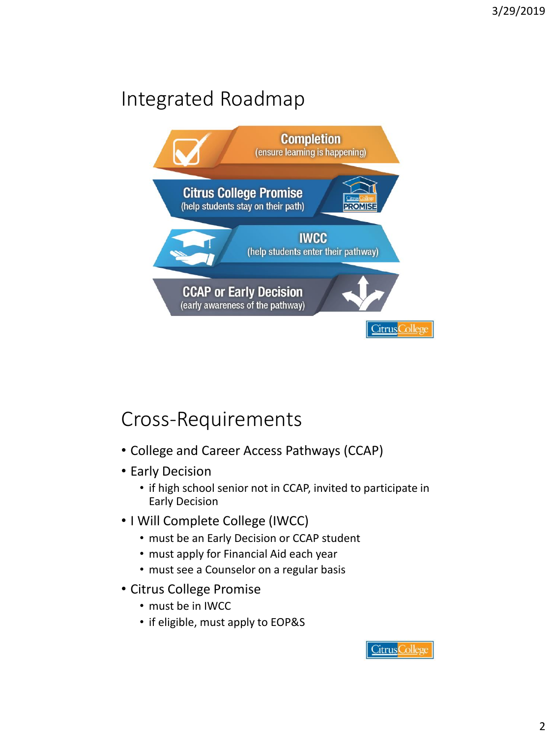# Integrated Roadmap



#### Cross-Requirements

- College and Career Access Pathways (CCAP)
- Early Decision
	- if high school senior not in CCAP, invited to participate in Early Decision
- I Will Complete College (IWCC)
	- must be an Early Decision or CCAP student
	- must apply for Financial Aid each year
	- must see a Counselor on a regular basis
- Citrus College Promise
	- must be in IWCC
	- if eligible, must apply to EOP&S

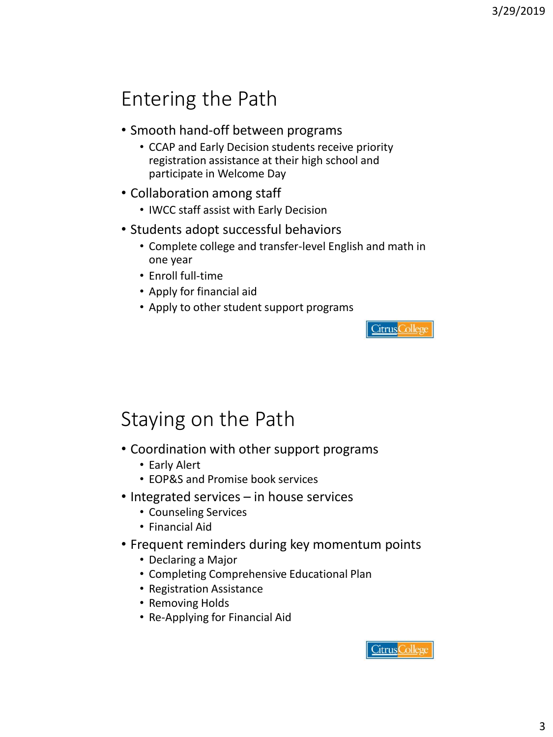## Entering the Path

- Smooth hand-off between programs
	- CCAP and Early Decision students receive priority registration assistance at their high school and participate in Welcome Day
- Collaboration among staff
	- IWCC staff assist with Early Decision
- Students adopt successful behaviors
	- Complete college and transfer-level English and math in one year
	- Enroll full-time
	- Apply for financial aid
	- Apply to other student support programs

Staying on the Path

- Coordination with other support programs
	- Early Alert
	- EOP&S and Promise book services
- Integrated services in house services
	- Counseling Services
	- Financial Aid
- Frequent reminders during key momentum points
	- Declaring a Major
	- Completing Comprehensive Educational Plan
	- Registration Assistance
	- Removing Holds
	- Re-Applying for Financial Aid



**Citrus** College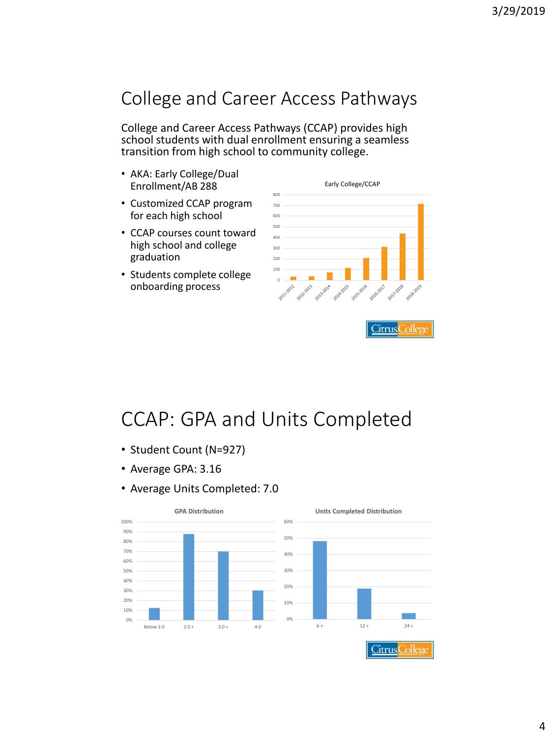#### College and Career Access Pathways

College and Career Access Pathways (CCAP) provides high school students with dual enrollment ensuring a seamless transition from high school to community college.

- AKA: Early College/Dual Enrollment/AB 288
- Customized CCAP program for each high school
- CCAP courses count toward high school and college graduation
- Students complete college onboarding process



#### CCAP: GPA and Units Completed

- Student Count (N=927)
- Average GPA: 3.16
- Average Units Completed: 7.0

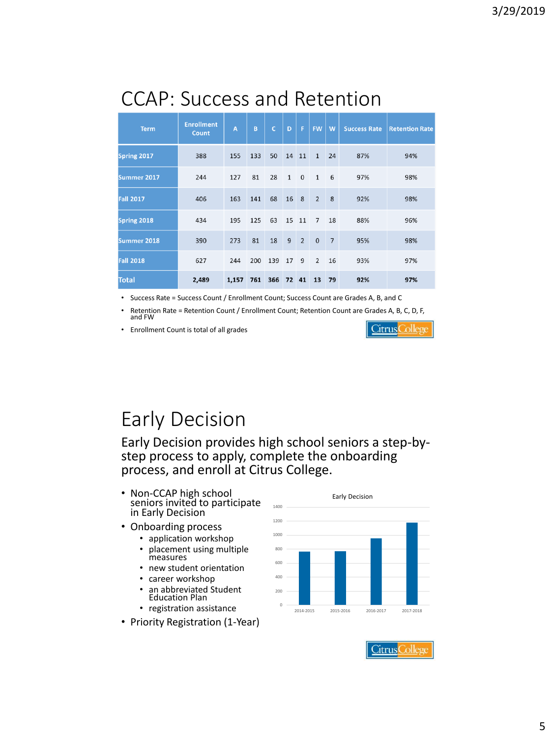| <b>Term</b>        | <b>Enrollment</b><br>Count | A     | B   | $\mathbf{C}$ | D            | F              | <b>FW</b>      | W  | <b>Success Rate</b> | <b>Retention Rate</b> |
|--------------------|----------------------------|-------|-----|--------------|--------------|----------------|----------------|----|---------------------|-----------------------|
| Spring 2017        | 388                        | 155   | 133 | 50           | 14           | 11             | $\mathbf{1}$   | 24 | 87%                 | 94%                   |
| <b>Summer 2017</b> | 244                        | 127   | 81  | 28           | $\mathbf{1}$ | $\mathbf 0$    | $\mathbf{1}$   | 6  | 97%                 | 98%                   |
| <b>Fall 2017</b>   | 406                        | 163   | 141 | 68           | 16 8         |                | 2              | 8  | 92%                 | 98%                   |
| Spring 2018        | 434                        | 195   | 125 | 63           |              | 15 11          | $\overline{7}$ | 18 | 88%                 | 96%                   |
| <b>Summer 2018</b> | 390                        | 273   | 81  | 18           | 9            | $\overline{2}$ | $\Omega$       | 7  | 95%                 | 98%                   |
| <b>Fall 2018</b>   | 627                        | 244   | 200 | 139          | 17           | 9              | $\overline{2}$ | 16 | 93%                 | 97%                   |
| <b>Total</b>       | 2,489                      | 1,157 | 761 | 366          | 72           | 41             | 13             | 79 | 92%                 | 97%                   |

#### CCAP: Success and Retention

• Success Rate = Success Count / Enrollment Count; Success Count are Grades A, B, and C

• Retention Rate = Retention Count / Enrollment Count; Retention Count are Grades A, B, C, D, F, and FW

• Enrollment Count is total of all grades

# Early Decision

Early Decision provides high school seniors a step-bystep process to apply, complete the onboarding process, and enroll at Citrus College.

- Non-CCAP high school seniors invited to participate in Early Decision
- Onboarding process
	- application workshop
	- placement using multiple measures
	- new student orientation
	- career workshop
	- an abbreviated Student Education Plan
	- registration assistance
- Priority Registration (1-Year)





**Citrus** College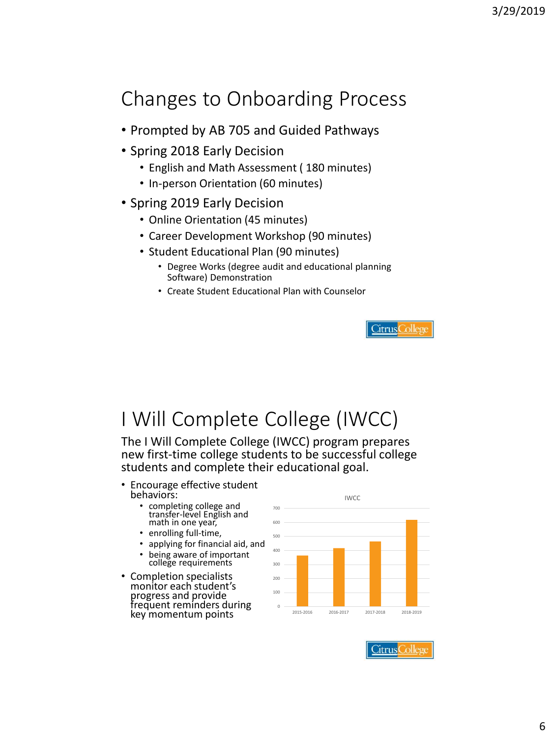### Changes to Onboarding Process

- Prompted by AB 705 and Guided Pathways
- Spring 2018 Early Decision
	- English and Math Assessment ( 180 minutes)
	- In-person Orientation (60 minutes)
- Spring 2019 Early Decision
	- Online Orientation (45 minutes)
	- Career Development Workshop (90 minutes)
	- Student Educational Plan (90 minutes)
		- Degree Works (degree audit and educational planning Software) Demonstration
		- Create Student Educational Plan with Counselor

#### I Will Complete College (IWCC)

The I Will Complete College (IWCC) program prepares new first-time college students to be successful college students and complete their educational goal.

- Encourage effective student behaviors:
	- completing college and transfer-level English and math in one year,
	- enrolling full-time,
	- applying for financial aid, and
	- being aware of important college requirements
- Completion specialists monitor each student's progress and provide frequent reminders during key momentum points





Citrus College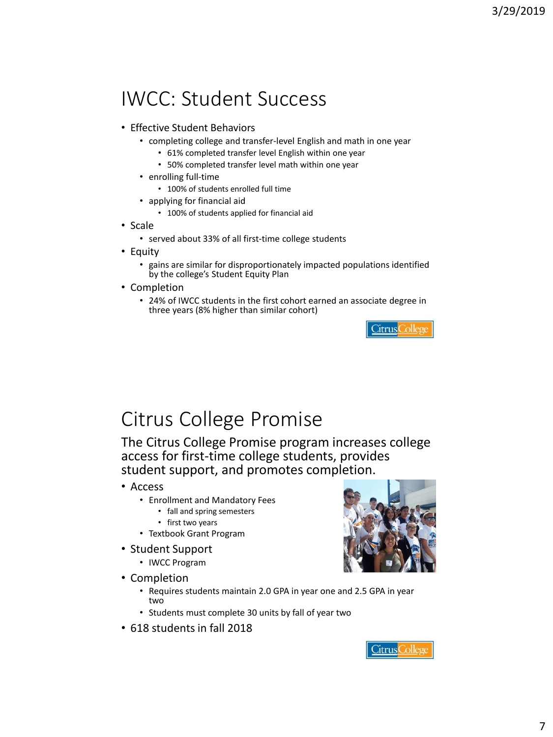### IWCC: Student Success

#### • Effective Student Behaviors

- completing college and transfer-level English and math in one year
	- 61% completed transfer level English within one year
	- 50% completed transfer level math within one year
- enrolling full-time
	- 100% of students enrolled full time
- applying for financial aid
	- 100% of students applied for financial aid
- Scale
	- served about 33% of all first-time college students
- Equity
	- gains are similar for disproportionately impacted populations identified by the college's Student Equity Plan
- Completion
	- 24% of IWCC students in the first cohort earned an associate degree in three years (8% higher than similar cohort)



#### Citrus College Promise

The Citrus College Promise program increases college access for first-time college students, provides student support, and promotes completion.

- Access
	- Enrollment and Mandatory Fees
		- fall and spring semesters
		- first two years
	- Textbook Grant Program
- Student Support
	- IWCC Program
- Completion



- Requires students maintain 2.0 GPA in year one and 2.5 GPA in year two
- Students must complete 30 units by fall of year two
- 618 students in fall 2018